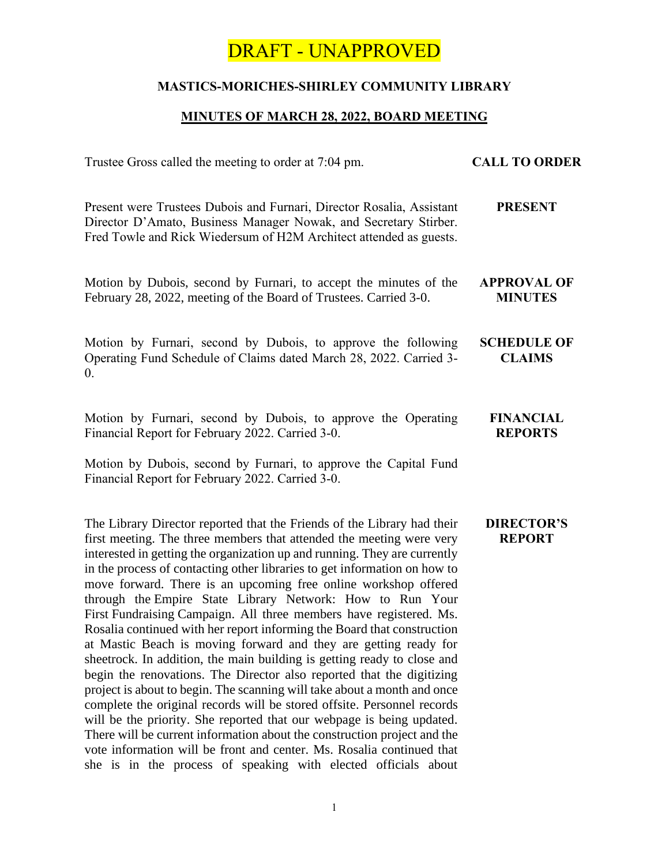# DRAFT - UNAPPROVED

## **MASTICS-MORICHES-SHIRLEY COMMUNITY LIBRARY**

### **MINUTES OF MARCH 28, 2022, BOARD MEETING**

| Trustee Gross called the meeting to order at 7:04 pm.                                                                                                                                                                                                                                                                                                                                                                                                                                                                                                                                                                                                                                                                                                                                                                                                                                                                                                                                                                                                                                                                                                                                                   | <b>CALL TO ORDER</b>                 |
|---------------------------------------------------------------------------------------------------------------------------------------------------------------------------------------------------------------------------------------------------------------------------------------------------------------------------------------------------------------------------------------------------------------------------------------------------------------------------------------------------------------------------------------------------------------------------------------------------------------------------------------------------------------------------------------------------------------------------------------------------------------------------------------------------------------------------------------------------------------------------------------------------------------------------------------------------------------------------------------------------------------------------------------------------------------------------------------------------------------------------------------------------------------------------------------------------------|--------------------------------------|
| Present were Trustees Dubois and Furnari, Director Rosalia, Assistant<br>Director D'Amato, Business Manager Nowak, and Secretary Stirber.<br>Fred Towle and Rick Wiedersum of H2M Architect attended as guests.                                                                                                                                                                                                                                                                                                                                                                                                                                                                                                                                                                                                                                                                                                                                                                                                                                                                                                                                                                                         | <b>PRESENT</b>                       |
| Motion by Dubois, second by Furnari, to accept the minutes of the<br>February 28, 2022, meeting of the Board of Trustees. Carried 3-0.                                                                                                                                                                                                                                                                                                                                                                                                                                                                                                                                                                                                                                                                                                                                                                                                                                                                                                                                                                                                                                                                  | <b>APPROVAL OF</b><br><b>MINUTES</b> |
| Motion by Furnari, second by Dubois, to approve the following<br>Operating Fund Schedule of Claims dated March 28, 2022. Carried 3-<br>$\overline{0}$ .                                                                                                                                                                                                                                                                                                                                                                                                                                                                                                                                                                                                                                                                                                                                                                                                                                                                                                                                                                                                                                                 | <b>SCHEDULE OF</b><br><b>CLAIMS</b>  |
| Motion by Furnari, second by Dubois, to approve the Operating<br>Financial Report for February 2022. Carried 3-0.<br>Motion by Dubois, second by Furnari, to approve the Capital Fund<br>Financial Report for February 2022. Carried 3-0.                                                                                                                                                                                                                                                                                                                                                                                                                                                                                                                                                                                                                                                                                                                                                                                                                                                                                                                                                               | <b>FINANCIAL</b><br><b>REPORTS</b>   |
| The Library Director reported that the Friends of the Library had their<br>first meeting. The three members that attended the meeting were very<br>interested in getting the organization up and running. They are currently<br>in the process of contacting other libraries to get information on how to<br>move forward. There is an upcoming free online workshop offered<br>through the Empire State Library Network: How to Run Your<br>First Fundraising Campaign. All three members have registered. Ms.<br>Rosalia continued with her report informing the Board that construction<br>at Mastic Beach is moving forward and they are getting ready for<br>sheetrock. In addition, the main building is getting ready to close and<br>begin the renovations. The Director also reported that the digitizing<br>project is about to begin. The scanning will take about a month and once<br>complete the original records will be stored offsite. Personnel records<br>will be the priority. She reported that our webpage is being updated.<br>There will be current information about the construction project and the<br>vote information will be front and center. Ms. Rosalia continued that | <b>DIRECTOR'S</b><br><b>REPORT</b>   |

she is in the process of speaking with elected officials about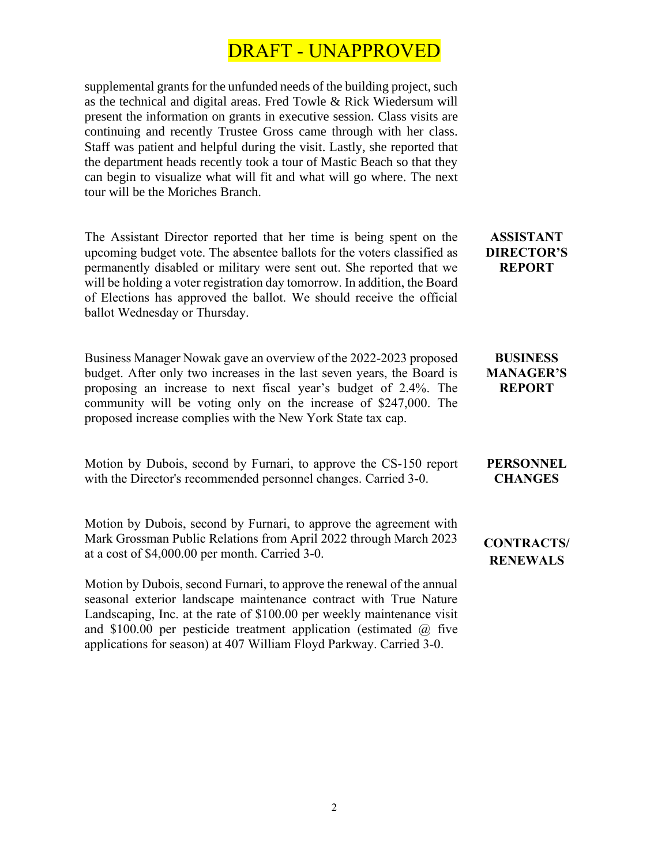# DRAFT - UNAPPROVED

supplemental grants for the unfunded needs of the building project, such as the technical and digital areas. Fred Towle & Rick Wiedersum will present the information on grants in executive session. Class visits are continuing and recently Trustee Gross came through with her class. Staff was patient and helpful during the visit. Lastly, she reported that the department heads recently took a tour of Mastic Beach so that they can begin to visualize what will fit and what will go where. The next tour will be the Moriches Branch.

The Assistant Director reported that her time is being spent on the upcoming budget vote. The absentee ballots for the voters classified as permanently disabled or military were sent out. She reported that we will be holding a voter registration day tomorrow. In addition, the Board of Elections has approved the ballot. We should receive the official ballot Wednesday or Thursday.

Business Manager Nowak gave an overview of the 2022-2023 proposed budget. After only two increases in the last seven years, the Board is proposing an increase to next fiscal year's budget of 2.4%. The community will be voting only on the increase of \$247,000. The proposed increase complies with the New York State tax cap.

Motion by Dubois, second by Furnari, to approve the CS-150 report with the Director's recommended personnel changes. Carried 3-0.

Motion by Dubois, second by Furnari, to approve the agreement with Mark Grossman Public Relations from April 2022 through March 2023 at a cost of \$4,000.00 per month. Carried 3-0.

Motion by Dubois, second Furnari, to approve the renewal of the annual seasonal exterior landscape maintenance contract with True Nature Landscaping, Inc. at the rate of \$100.00 per weekly maintenance visit and \$100.00 per pesticide treatment application (estimated  $\omega$ ) five applications for season) at 407 William Floyd Parkway. Carried 3-0.

**ASSISTANT DIRECTOR'S REPORT**

#### **BUSINESS MANAGER'S REPORT**

#### **PERSONNEL CHANGES**

## **CONTRACTS/ RENEWALS**